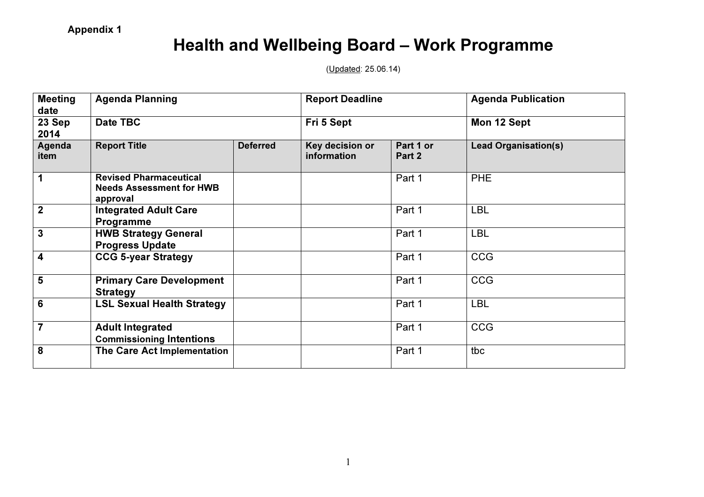## Health and Wellbeing Board – Work Programme

(Updated: 25.06.14)

| <b>Meeting</b><br>date  | <b>Agenda Planning</b><br>Date TBC                                           |                 | <b>Report Deadline</b><br>Fri 5 Sept |                     | <b>Agenda Publication</b><br>Mon 12 Sept |
|-------------------------|------------------------------------------------------------------------------|-----------------|--------------------------------------|---------------------|------------------------------------------|
| 23 Sep<br>2014          |                                                                              |                 |                                      |                     |                                          |
| Agenda<br>item          | <b>Report Title</b>                                                          | <b>Deferred</b> | Key decision or<br>information       | Part 1 or<br>Part 2 | <b>Lead Organisation(s)</b>              |
| 1                       | <b>Revised Pharmaceutical</b><br><b>Needs Assessment for HWB</b><br>approval |                 |                                      | Part 1              | <b>PHE</b>                               |
| $\overline{2}$          | <b>Integrated Adult Care</b><br>Programme                                    |                 |                                      | Part 1              | <b>LBL</b>                               |
| $\overline{3}$          | <b>HWB Strategy General</b><br><b>Progress Update</b>                        |                 |                                      | Part 1              | <b>LBL</b>                               |
| $\overline{\mathbf{4}}$ | <b>CCG 5-year Strategy</b>                                                   |                 |                                      | Part 1              | <b>CCG</b>                               |
| 5                       | <b>Primary Care Development</b><br><b>Strategy</b>                           |                 |                                      | Part 1              | <b>CCG</b>                               |
| $6\phantom{1}6$         | <b>LSL Sexual Health Strategy</b>                                            |                 |                                      | Part 1              | <b>LBL</b>                               |
| $\overline{7}$          | <b>Adult Integrated</b><br><b>Commissioning Intentions</b>                   |                 |                                      | Part 1              | <b>CCG</b>                               |
| 8                       | The Care Act Implementation                                                  |                 |                                      | Part 1              | tbc                                      |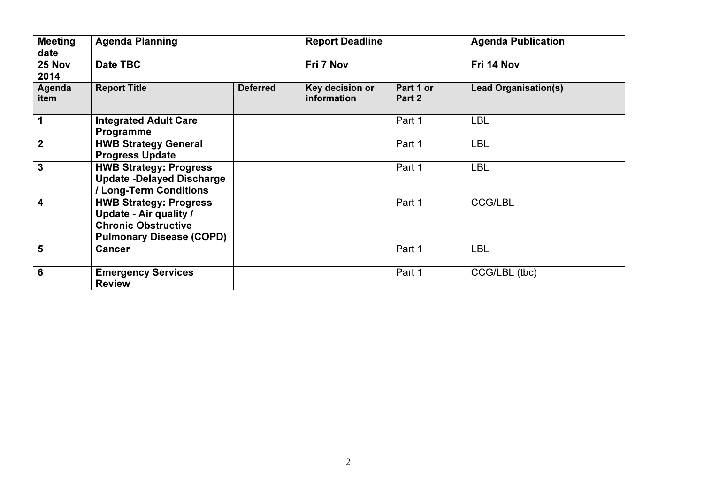| <b>Meeting</b><br>date  | <b>Agenda Planning</b>                                                                                                          |                 | <b>Report Deadline</b>         |                     | <b>Agenda Publication</b>   |
|-------------------------|---------------------------------------------------------------------------------------------------------------------------------|-----------------|--------------------------------|---------------------|-----------------------------|
| 25 Nov<br>2014          | Date TBC                                                                                                                        |                 | Fri 7 Nov                      |                     | Fri 14 Nov                  |
| Agenda<br>item          | <b>Report Title</b>                                                                                                             | <b>Deferred</b> | Key decision or<br>information | Part 1 or<br>Part 2 | <b>Lead Organisation(s)</b> |
| 1                       | <b>Integrated Adult Care</b><br>Programme                                                                                       |                 |                                | Part 1              | <b>LBL</b>                  |
| $\overline{2}$          | <b>HWB Strategy General</b><br><b>Progress Update</b>                                                                           |                 |                                | Part 1              | <b>LBL</b>                  |
| 3                       | <b>HWB Strategy: Progress</b><br><b>Update -Delayed Discharge</b><br>/ Long-Term Conditions                                     |                 |                                | Part 1              | <b>LBL</b>                  |
| $\overline{\mathbf{4}}$ | <b>HWB Strategy: Progress</b><br><b>Update - Air quality /</b><br><b>Chronic Obstructive</b><br><b>Pulmonary Disease (COPD)</b> |                 |                                | Part 1              | <b>CCG/LBL</b>              |
| $5\phantom{1}$          | <b>Cancer</b>                                                                                                                   |                 |                                | Part 1              | <b>LBL</b>                  |
| 6                       | <b>Emergency Services</b><br><b>Review</b>                                                                                      |                 |                                | Part 1              | CCG/LBL (tbc)               |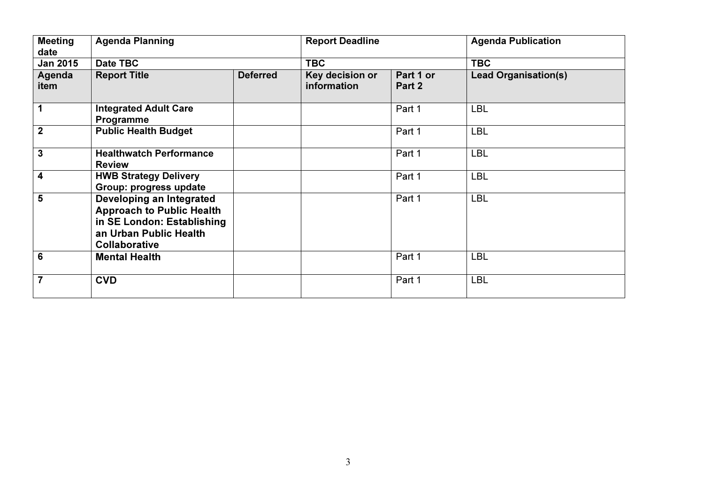| <b>Meeting</b><br>date  | <b>Agenda Planning</b>                                                                                                                       |                 | <b>Report Deadline</b>         |                     | <b>Agenda Publication</b>   |
|-------------------------|----------------------------------------------------------------------------------------------------------------------------------------------|-----------------|--------------------------------|---------------------|-----------------------------|
| <b>Jan 2015</b>         | Date TBC                                                                                                                                     |                 | <b>TBC</b>                     |                     | <b>TBC</b>                  |
| Agenda<br>item          | <b>Report Title</b>                                                                                                                          | <b>Deferred</b> | Key decision or<br>information | Part 1 or<br>Part 2 | <b>Lead Organisation(s)</b> |
| 1                       | <b>Integrated Adult Care</b><br>Programme                                                                                                    |                 |                                | Part 1              | <b>LBL</b>                  |
| $\mathbf{2}$            | <b>Public Health Budget</b>                                                                                                                  |                 |                                | Part 1              | <b>LBL</b>                  |
| $\overline{3}$          | <b>Healthwatch Performance</b><br><b>Review</b>                                                                                              |                 |                                | Part 1              | <b>LBL</b>                  |
| $\overline{\mathbf{4}}$ | <b>HWB Strategy Delivery</b><br>Group: progress update                                                                                       |                 |                                | Part 1              | <b>LBL</b>                  |
| 5                       | Developing an Integrated<br><b>Approach to Public Health</b><br>in SE London: Establishing<br>an Urban Public Health<br><b>Collaborative</b> |                 |                                | Part 1              | <b>LBL</b>                  |
| $6\phantom{1}6$         | <b>Mental Health</b>                                                                                                                         |                 |                                | Part 1              | <b>LBL</b>                  |
| $\overline{7}$          | <b>CVD</b>                                                                                                                                   |                 |                                | Part 1              | <b>LBL</b>                  |